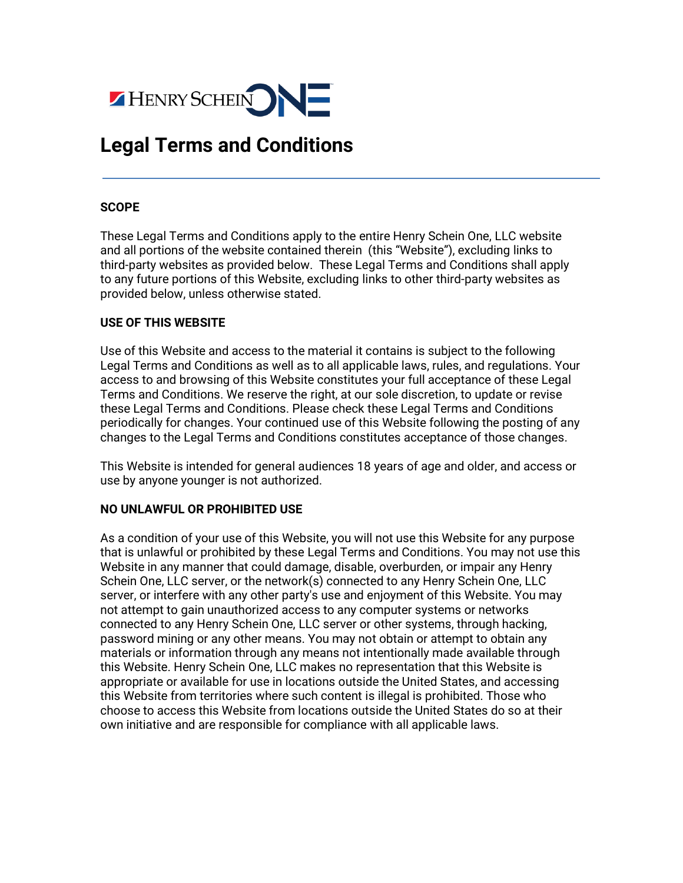

# **Legal Terms and Conditions**

## **SCOPE**

These Legal Terms and Conditions apply to the entire Henry Schein One, LLC website and all portions of the website contained therein (this "Website"), excluding links to third-party websites as provided below. These Legal Terms and Conditions shall apply to any future portions of this Website, excluding links to other third-party websites as provided below, unless otherwise stated.

#### **USE OF THIS WEBSITE**

Use of this Website and access to the material it contains is subject to the following Legal Terms and Conditions as well as to all applicable laws, rules, and regulations. Your access to and browsing of this Website constitutes your full acceptance of these Legal Terms and Conditions. We reserve the right, at our sole discretion, to update or revise these Legal Terms and Conditions. Please check these Legal Terms and Conditions periodically for changes. Your continued use of this Website following the posting of any changes to the Legal Terms and Conditions constitutes acceptance of those changes.

This Website is intended for general audiences 18 years of age and older, and access or use by anyone younger is not authorized.

## **NO UNLAWFUL OR PROHIBITED USE**

As a condition of your use of this Website, you will not use this Website for any purpose that is unlawful or prohibited by these Legal Terms and Conditions. You may not use this Website in any manner that could damage, disable, overburden, or impair any Henry Schein One, LLC server, or the network(s) connected to any Henry Schein One, LLC server, or interfere with any other party's use and enjoyment of this Website. You may not attempt to gain unauthorized access to any computer systems or networks connected to any Henry Schein One, LLC server or other systems, through hacking, password mining or any other means. You may not obtain or attempt to obtain any materials or information through any means not intentionally made available through this Website. Henry Schein One, LLC makes no representation that this Website is appropriate or available for use in locations outside the United States, and accessing this Website from territories where such content is illegal is prohibited. Those who choose to access this Website from locations outside the United States do so at their own initiative and are responsible for compliance with all applicable laws.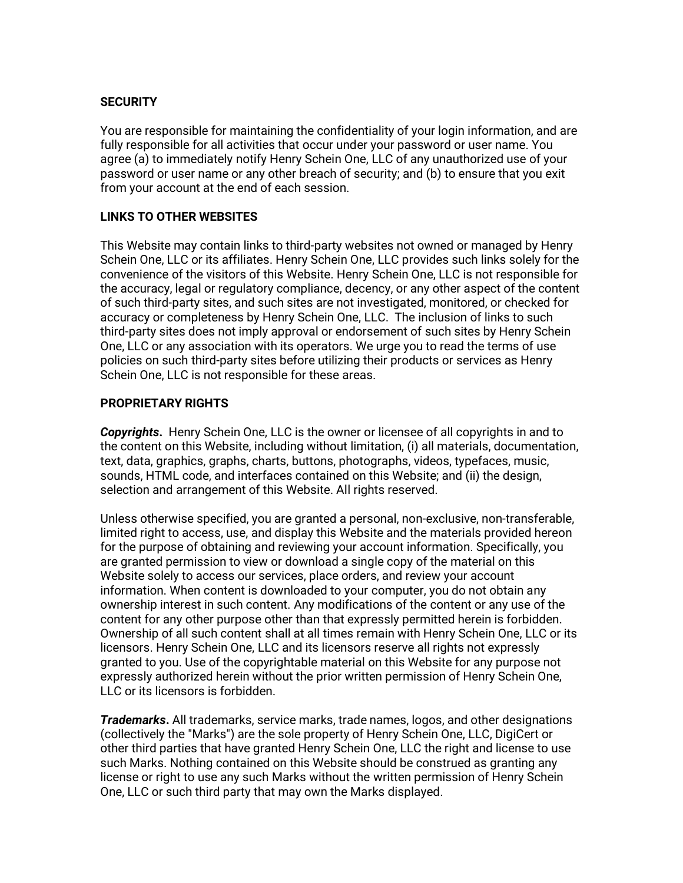# **SECURITY**

You are responsible for maintaining the confidentiality of your login information, and are fully responsible for all activities that occur under your password or user name. You agree (a) to immediately notify Henry Schein One, LLC of any unauthorized use of your password or user name or any other breach of security; and (b) to ensure that you exit from your account at the end of each session.

# **LINKS TO OTHER WEBSITES**

This Website may contain links to third-party websites not owned or managed by Henry Schein One, LLC or its affiliates. Henry Schein One, LLC provides such links solely for the convenience of the visitors of this Website. Henry Schein One, LLC is not responsible for the accuracy, legal or regulatory compliance, decency, or any other aspect of the content of such third-party sites, and such sites are not investigated, monitored, or checked for accuracy or completeness by Henry Schein One, LLC. The inclusion of links to such third-party sites does not imply approval or endorsement of such sites by Henry Schein One, LLC or any association with its operators. We urge you to read the terms of use policies on such third-party sites before utilizing their products or services as Henry Schein One, LLC is not responsible for these areas.

## **PROPRIETARY RIGHTS**

*Copyrights***.** Henry Schein One, LLC is the owner or licensee of all copyrights in and to the content on this Website, including without limitation, (i) all materials, documentation, text, data, graphics, graphs, charts, buttons, photographs, videos, typefaces, music, sounds, HTML code, and interfaces contained on this Website; and (ii) the design, selection and arrangement of this Website. All rights reserved.

Unless otherwise specified, you are granted a personal, non-exclusive, non-transferable, limited right to access, use, and display this Website and the materials provided hereon for the purpose of obtaining and reviewing your account information. Specifically, you are granted permission to view or download a single copy of the material on this Website solely to access our services, place orders, and review your account information. When content is downloaded to your computer, you do not obtain any ownership interest in such content. Any modifications of the content or any use of the content for any other purpose other than that expressly permitted herein is forbidden. Ownership of all such content shall at all times remain with Henry Schein One, LLC or its licensors. Henry Schein One, LLC and its licensors reserve all rights not expressly granted to you. Use of the copyrightable material on this Website for any purpose not expressly authorized herein without the prior written permission of Henry Schein One, LLC or its licensors is forbidden.

*Trademarks***.** All trademarks, service marks, trade names, logos, and other designations (collectively the "Marks") are the sole property of Henry Schein One, LLC, DigiCert or other third parties that have granted Henry Schein One, LLC the right and license to use such Marks. Nothing contained on this Website should be construed as granting any license or right to use any such Marks without the written permission of Henry Schein One, LLC or such third party that may own the Marks displayed.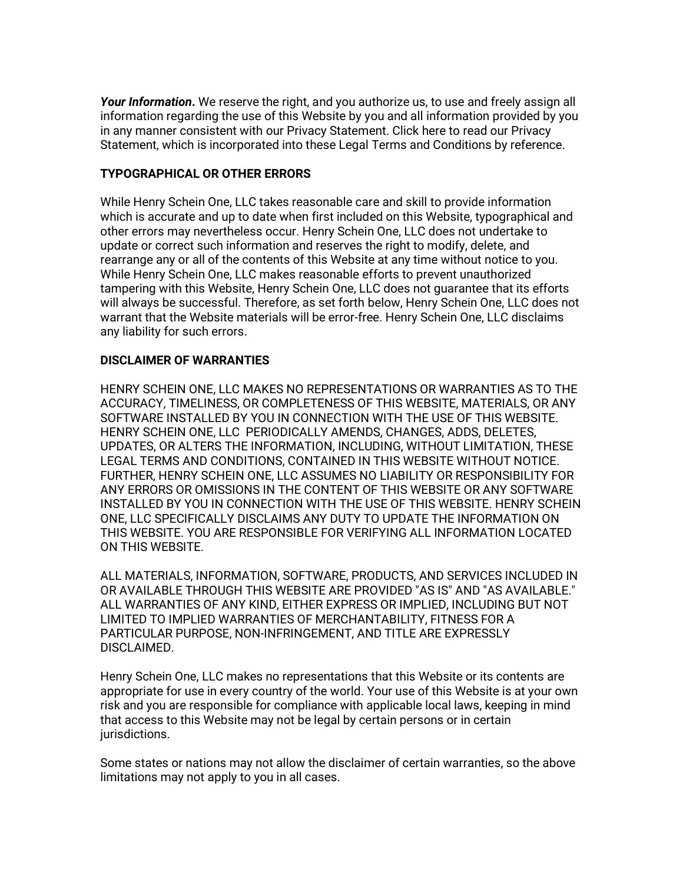*Your Information***.** We reserve the right, and you authorize us, to use and freely assign all information regarding the use of this Website by you and all information provided by you in any manner consistent with our Privacy Statement. Click here to read our Privacy Statement, which is incorporated into these Legal Terms and Conditions by reference.

# **TYPOGRAPHICAL OR OTHER ERRORS**

While Henry Schein One, LLC takes reasonable care and skill to provide information which is accurate and up to date when first included on this Website, typographical and other errors may nevertheless occur. Henry Schein One, LLC does not undertake to update or correct such information and reserves the right to modify, delete, and rearrange any or all of the contents of this Website at any time without notice to you. While Henry Schein One, LLC makes reasonable efforts to prevent unauthorized tampering with this Website, Henry Schein One, LLC does not guarantee that its efforts will always be successful. Therefore, as set forth below, Henry Schein One, LLC does not warrant that the Website materials will be error-free. Henry Schein One, LLC disclaims any liability for such errors.

# **DISCLAIMER OF WARRANTIES**

HENRY SCHEIN ONE, LLC MAKES NO REPRESENTATIONS OR WARRANTIES AS TO THE ACCURACY, TIMELINESS, OR COMPLETENESS OF THIS WEBSITE, MATERIALS, OR ANY SOFTWARE INSTALLED BY YOU IN CONNECTION WITH THE USE OF THIS WEBSITE. HENRY SCHEIN ONE, LLC PERIODICALLY AMENDS, CHANGES, ADDS, DELETES, UPDATES, OR ALTERS THE INFORMATION, INCLUDING, WITHOUT LIMITATION, THESE LEGAL TERMS AND CONDITIONS, CONTAINED IN THIS WEBSITE WITHOUT NOTICE. FURTHER, HENRY SCHEIN ONE, LLC ASSUMES NO LIABILITY OR RESPONSIBILITY FOR ANY ERRORS OR OMISSIONS IN THE CONTENT OF THIS WEBSITE OR ANY SOFTWARE INSTALLED BY YOU IN CONNECTION WITH THE USE OF THIS WEBSITE. HENRY SCHEIN ONE, LLC SPECIFICALLY DISCLAIMS ANY DUTY TO UPDATE THE INFORMATION ON THIS WEBSITE. YOU ARE RESPONSIBLE FOR VERIFYING ALL INFORMATION LOCATED ON THIS WEBSITE.

ALL MATERIALS, INFORMATION, SOFTWARE, PRODUCTS, AND SERVICES INCLUDED IN OR AVAILABLE THROUGH THIS WEBSITE ARE PROVIDED "AS IS" AND "AS AVAILABLE." ALL WARRANTIES OF ANY KIND, EITHER EXPRESS OR IMPLIED, INCLUDING BUT NOT LIMITED TO IMPLIED WARRANTIES OF MERCHANTABILITY, FITNESS FOR A PARTICULAR PURPOSE, NON-INFRINGEMENT, AND TITLE ARE EXPRESSLY DISCLAIMED.

Henry Schein One, LLC makes no representations that this Website or its contents are appropriate for use in every country of the world. Your use of this Website is at your own risk and you are responsible for compliance with applicable local laws, keeping in mind that access to this Website may not be legal by certain persons or in certain jurisdictions.

Some states or nations may not allow the disclaimer of certain warranties, so the above limitations may not apply to you in all cases.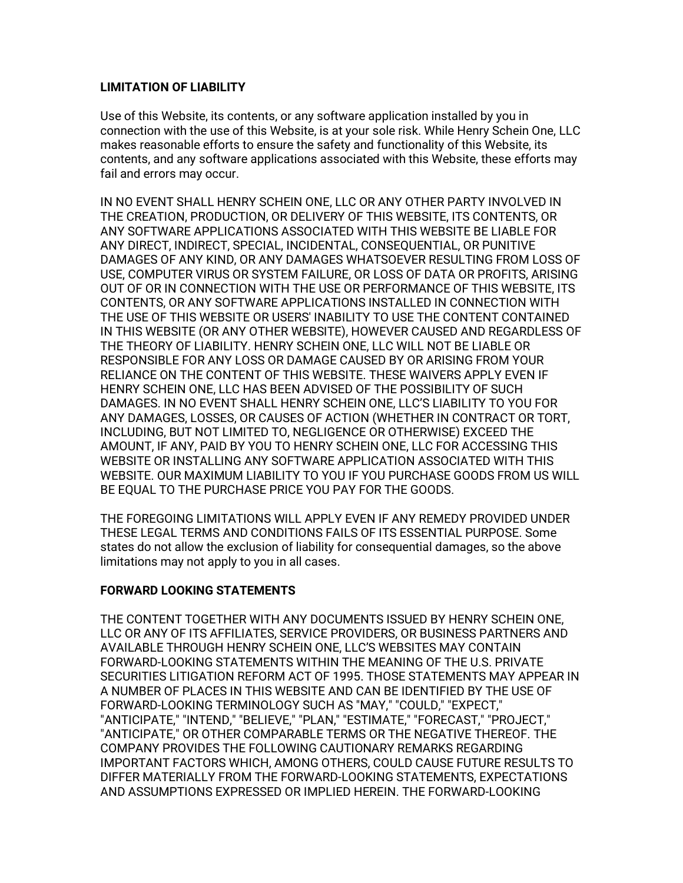#### **LIMITATION OF LIABILITY**

Use of this Website, its contents, or any software application installed by you in connection with the use of this Website, is at your sole risk. While Henry Schein One, LLC makes reasonable efforts to ensure the safety and functionality of this Website, its contents, and any software applications associated with this Website, these efforts may fail and errors may occur.

IN NO EVENT SHALL HENRY SCHEIN ONE, LLC OR ANY OTHER PARTY INVOLVED IN THE CREATION, PRODUCTION, OR DELIVERY OF THIS WEBSITE, ITS CONTENTS, OR ANY SOFTWARE APPLICATIONS ASSOCIATED WITH THIS WEBSITE BE LIABLE FOR ANY DIRECT, INDIRECT, SPECIAL, INCIDENTAL, CONSEQUENTIAL, OR PUNITIVE DAMAGES OF ANY KIND, OR ANY DAMAGES WHATSOEVER RESULTING FROM LOSS OF USE, COMPUTER VIRUS OR SYSTEM FAILURE, OR LOSS OF DATA OR PROFITS, ARISING OUT OF OR IN CONNECTION WITH THE USE OR PERFORMANCE OF THIS WEBSITE, ITS CONTENTS, OR ANY SOFTWARE APPLICATIONS INSTALLED IN CONNECTION WITH THE USE OF THIS WEBSITE OR USERS' INABILITY TO USE THE CONTENT CONTAINED IN THIS WEBSITE (OR ANY OTHER WEBSITE), HOWEVER CAUSED AND REGARDLESS OF THE THEORY OF LIABILITY. HENRY SCHEIN ONE, LLC WILL NOT BE LIABLE OR RESPONSIBLE FOR ANY LOSS OR DAMAGE CAUSED BY OR ARISING FROM YOUR RELIANCE ON THE CONTENT OF THIS WEBSITE. THESE WAIVERS APPLY EVEN IF HENRY SCHEIN ONE, LLC HAS BEEN ADVISED OF THE POSSIBILITY OF SUCH DAMAGES. IN NO EVENT SHALL HENRY SCHEIN ONE, LLC'S LIABILITY TO YOU FOR ANY DAMAGES, LOSSES, OR CAUSES OF ACTION (WHETHER IN CONTRACT OR TORT, INCLUDING, BUT NOT LIMITED TO, NEGLIGENCE OR OTHERWISE) EXCEED THE AMOUNT, IF ANY, PAID BY YOU TO HENRY SCHEIN ONE, LLC FOR ACCESSING THIS WEBSITE OR INSTALLING ANY SOFTWARE APPLICATION ASSOCIATED WITH THIS WEBSITE. OUR MAXIMUM LIABILITY TO YOU IF YOU PURCHASE GOODS FROM US WILL BE EQUAL TO THE PURCHASE PRICE YOU PAY FOR THE GOODS.

THE FOREGOING LIMITATIONS WILL APPLY EVEN IF ANY REMEDY PROVIDED UNDER THESE LEGAL TERMS AND CONDITIONS FAILS OF ITS ESSENTIAL PURPOSE. Some states do not allow the exclusion of liability for consequential damages, so the above limitations may not apply to you in all cases.

## **FORWARD LOOKING STATEMENTS**

THE CONTENT TOGETHER WITH ANY DOCUMENTS ISSUED BY HENRY SCHEIN ONE, LLC OR ANY OF ITS AFFILIATES, SERVICE PROVIDERS, OR BUSINESS PARTNERS AND AVAILABLE THROUGH HENRY SCHEIN ONE, LLC'S WEBSITES MAY CONTAIN FORWARD-LOOKING STATEMENTS WITHIN THE MEANING OF THE U.S. PRIVATE SECURITIES LITIGATION REFORM ACT OF 1995. THOSE STATEMENTS MAY APPEAR IN A NUMBER OF PLACES IN THIS WEBSITE AND CAN BE IDENTIFIED BY THE USE OF FORWARD-LOOKING TERMINOLOGY SUCH AS "MAY," "COULD," "EXPECT," "ANTICIPATE," "INTEND," "BELIEVE," "PLAN," "ESTIMATE," "FORECAST," "PROJECT," "ANTICIPATE," OR OTHER COMPARABLE TERMS OR THE NEGATIVE THEREOF. THE COMPANY PROVIDES THE FOLLOWING CAUTIONARY REMARKS REGARDING IMPORTANT FACTORS WHICH, AMONG OTHERS, COULD CAUSE FUTURE RESULTS TO DIFFER MATERIALLY FROM THE FORWARD-LOOKING STATEMENTS, EXPECTATIONS AND ASSUMPTIONS EXPRESSED OR IMPLIED HEREIN. THE FORWARD-LOOKING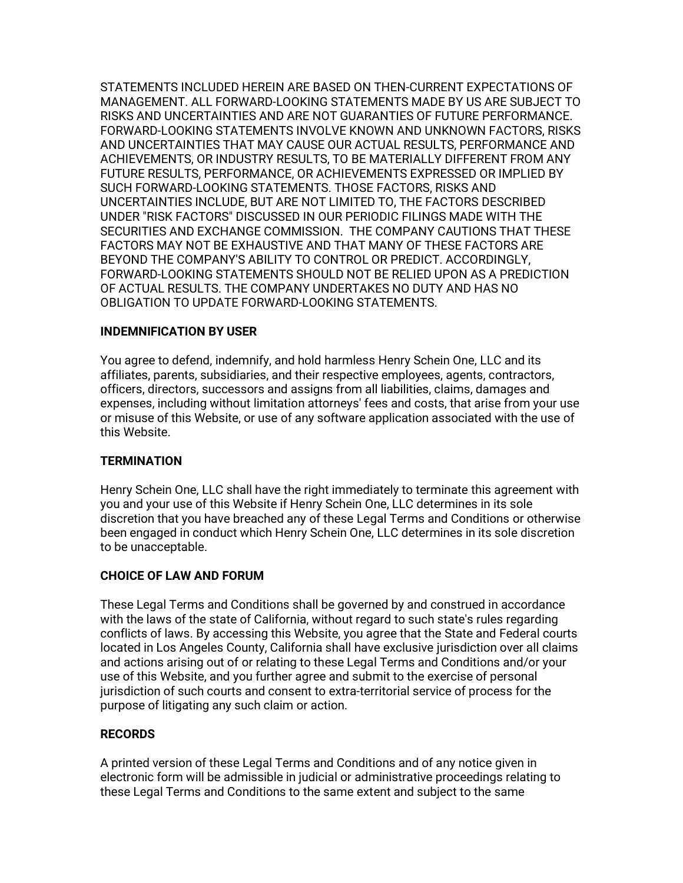STATEMENTS INCLUDED HEREIN ARE BASED ON THEN-CURRENT EXPECTATIONS OF MANAGEMENT. ALL FORWARD-LOOKING STATEMENTS MADE BY US ARE SUBJECT TO RISKS AND UNCERTAINTIES AND ARE NOT GUARANTIES OF FUTURE PERFORMANCE. FORWARD-LOOKING STATEMENTS INVOLVE KNOWN AND UNKNOWN FACTORS, RISKS AND UNCERTAINTIES THAT MAY CAUSE OUR ACTUAL RESULTS, PERFORMANCE AND ACHIEVEMENTS, OR INDUSTRY RESULTS, TO BE MATERIALLY DIFFERENT FROM ANY FUTURE RESULTS, PERFORMANCE, OR ACHIEVEMENTS EXPRESSED OR IMPLIED BY SUCH FORWARD-LOOKING STATEMENTS. THOSE FACTORS, RISKS AND UNCERTAINTIES INCLUDE, BUT ARE NOT LIMITED TO, THE FACTORS DESCRIBED UNDER "RISK FACTORS" DISCUSSED IN OUR PERIODIC FILINGS MADE WITH THE SECURITIES AND EXCHANGE COMMISSION. THE COMPANY CAUTIONS THAT THESE FACTORS MAY NOT BE EXHAUSTIVE AND THAT MANY OF THESE FACTORS ARE BEYOND THE COMPANY'S ABILITY TO CONTROL OR PREDICT. ACCORDINGLY, FORWARD-LOOKING STATEMENTS SHOULD NOT BE RELIED UPON AS A PREDICTION OF ACTUAL RESULTS. THE COMPANY UNDERTAKES NO DUTY AND HAS NO OBLIGATION TO UPDATE FORWARD-LOOKING STATEMENTS.

## **INDEMNIFICATION BY USER**

You agree to defend, indemnify, and hold harmless Henry Schein One, LLC and its affiliates, parents, subsidiaries, and their respective employees, agents, contractors, officers, directors, successors and assigns from all liabilities, claims, damages and expenses, including without limitation attorneys' fees and costs, that arise from your use or misuse of this Website, or use of any software application associated with the use of this Website.

#### **TERMINATION**

Henry Schein One, LLC shall have the right immediately to terminate this agreement with you and your use of this Website if Henry Schein One, LLC determines in its sole discretion that you have breached any of these Legal Terms and Conditions or otherwise been engaged in conduct which Henry Schein One, LLC determines in its sole discretion to be unacceptable.

## **CHOICE OF LAW AND FORUM**

These Legal Terms and Conditions shall be governed by and construed in accordance with the laws of the state of California, without regard to such state's rules regarding conflicts of laws. By accessing this Website, you agree that the State and Federal courts located in Los Angeles County, California shall have exclusive jurisdiction over all claims and actions arising out of or relating to these Legal Terms and Conditions and/or your use of this Website, and you further agree and submit to the exercise of personal jurisdiction of such courts and consent to extra-territorial service of process for the purpose of litigating any such claim or action.

## **RECORDS**

A printed version of these Legal Terms and Conditions and of any notice given in electronic form will be admissible in judicial or administrative proceedings relating to these Legal Terms and Conditions to the same extent and subject to the same